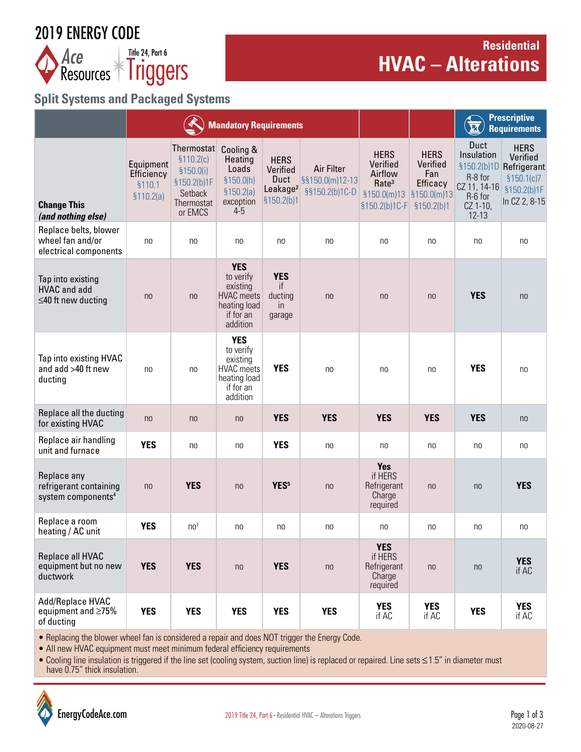# 2019 ENERGY CODE



# **Residential**  *Ace* **Executive 24, Part 6**<br>**Resources Financies**

# **Split Systems and Packaged Systems**

|                                                                         | <b>Mandatory Requirements</b>                   |                                                                                           |                                                                                                   |                                                                        |                                                 |                                                                                                                    | <b>Prescriptive</b><br>$\overline{\mathbf{R}}$<br><b>Requirements</b> |                                                                                   |                                                                                                   |
|-------------------------------------------------------------------------|-------------------------------------------------|-------------------------------------------------------------------------------------------|---------------------------------------------------------------------------------------------------|------------------------------------------------------------------------|-------------------------------------------------|--------------------------------------------------------------------------------------------------------------------|-----------------------------------------------------------------------|-----------------------------------------------------------------------------------|---------------------------------------------------------------------------------------------------|
| <b>Change This</b><br>(and nothing else)                                | Equipment<br>Efficiency<br>§110.1<br>\$110.2(a) | Thermostat<br>\$110.2(c)<br>\$150.0(i)<br>§150.2(b)1F<br>Setback<br>Thermostat<br>or EMCS | Cooling &<br>Heating<br>Loads<br>\$150.0(h)<br>\$150.2(a)<br>exception<br>$4-5$                   | <b>HERS</b><br>Verified<br>Duct<br>Leakage <sup>2</sup><br>\$150.2(b)1 | Air Filter<br>§§150.0(m)12-13<br>§§150.2(b)1C-D | <b>HERS</b><br>Verified<br>Airflow<br>Rate <sup>3</sup><br>$$150.0(m)13$ $$150.0(m)13$<br>§150.2(b)1C-F §150.2(b)1 | <b>HERS</b><br>Verified<br>Fan<br>Efficacy                            | Duct<br>Insulation<br>R-8 for<br>CZ 11, 14-16<br>R-6 for<br>CZ 1-10,<br>$12 - 13$ | <b>HERS</b><br>Verified<br>§150.2(b)1D Refrigerant<br>\$150.1(c)7<br>§150.2(b)1F<br>In CZ 2, 8-15 |
| Replace belts, blower<br>wheel fan and/or<br>electrical components      | n <sub>0</sub>                                  | n <sub>0</sub>                                                                            | no                                                                                                | no                                                                     | no                                              | no                                                                                                                 | no                                                                    | no                                                                                | no                                                                                                |
| Tap into existing<br><b>HVAC</b> and add<br>$\leq$ 40 ft new ducting    | n <sub>0</sub>                                  | n <sub>0</sub>                                                                            | <b>YES</b><br>to verify<br>existing<br><b>HVAC</b> meets<br>heating load<br>if for an<br>addition | <b>YES</b><br>if<br>ducting<br><i>in</i><br>garage                     | n <sub>0</sub>                                  | n <sub>0</sub>                                                                                                     | n <sub>0</sub>                                                        | <b>YES</b>                                                                        | n <sub>0</sub>                                                                                    |
| Tap into existing HVAC<br>and add >40 ft new<br>ducting                 | no                                              | no                                                                                        | <b>YES</b><br>to verify<br>existing<br><b>HVAC</b> meets<br>heating load<br>if for an<br>addition | <b>YES</b>                                                             | n <sub>0</sub>                                  | no                                                                                                                 | no                                                                    | <b>YES</b>                                                                        | no                                                                                                |
| Replace all the ducting<br>for existing HVAC                            | n <sub>0</sub>                                  | n <sub>0</sub>                                                                            | n <sub>0</sub>                                                                                    | <b>YES</b>                                                             | <b>YES</b>                                      | <b>YES</b>                                                                                                         | <b>YES</b>                                                            | <b>YES</b>                                                                        | n <sub>0</sub>                                                                                    |
| Replace air handling<br>unit and furnace                                | <b>YES</b>                                      | n <sub>0</sub>                                                                            | n <sub>0</sub>                                                                                    | <b>YES</b>                                                             | no                                              | no                                                                                                                 | no                                                                    | no                                                                                | no                                                                                                |
| Replace any<br>refrigerant containing<br>system components <sup>4</sup> | n <sub>0</sub>                                  | <b>YES</b>                                                                                | n <sub>0</sub>                                                                                    | YES <sup>5</sup>                                                       | n <sub>0</sub>                                  | <b>Yes</b><br>if HERS<br>Refrigerant<br>Charge<br>required                                                         | n <sub>0</sub>                                                        | n <sub>0</sub>                                                                    | <b>YES</b>                                                                                        |
| Replace a room<br>heating / AC unit                                     | <b>YES</b>                                      | n <sub>0</sub>                                                                            | n <sub>0</sub>                                                                                    | no                                                                     | no                                              | no                                                                                                                 | no                                                                    | no                                                                                | no                                                                                                |
| Replace all HVAC<br>equipment but no new<br>ductwork                    | <b>YES</b>                                      | <b>YES</b>                                                                                | n <sub>0</sub>                                                                                    | <b>YES</b>                                                             | n <sub>0</sub>                                  | <b>YES</b><br>if HERS<br>Refrigerant<br>Charge<br>required                                                         | n <sub>0</sub>                                                        | n <sub>0</sub>                                                                    | <b>YES</b><br>if AC                                                                               |
| Add/Replace HVAC<br>equipment and $\geq 75\%$<br>of ducting             | <b>YES</b>                                      | <b>YES</b>                                                                                | <b>YES</b>                                                                                        | <b>YES</b>                                                             | <b>YES</b>                                      | <b>YES</b><br>if AC                                                                                                | <b>YES</b><br>if AC                                                   | <b>YES</b>                                                                        | <b>YES</b><br>if AC                                                                               |

• Replacing the blower wheel fan is considered a repair and does NOT trigger the Energy Code.

• All new HVAC equipment must meet minimum federal efficiency requirements

• Cooling line insulation is triggered if the line set (cooling system, suction line) is replaced or repaired. Line sets ≤1.5" in diameter must have 0.75" thick insulation.

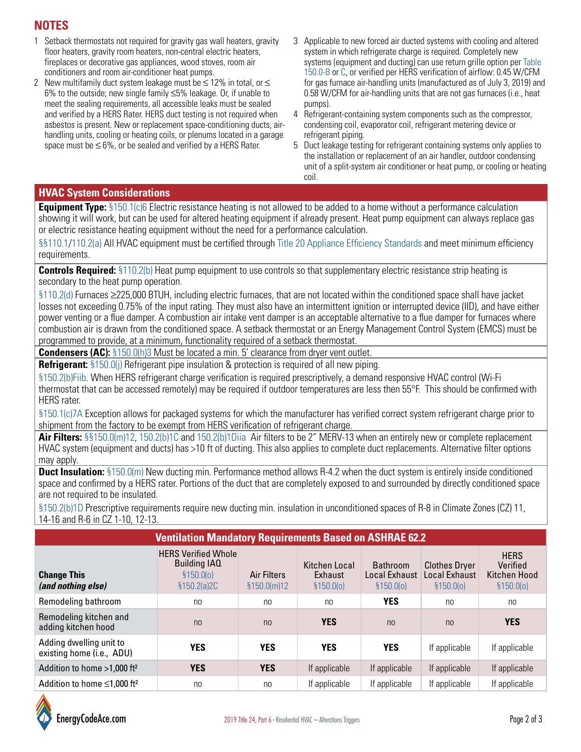## **NOTES**

- 1 Setback thermostats not required for gravity gas wall heaters, gravity floor heaters, gravity room heaters, non-central electric heaters, fireplaces or decorative gas appliances, wood stoves, room air conditioners and room air-conditioner heat pumps.
- 2 New multifamily duct system leakage must be ≤ 12% in total, or ≤ 6% to the outside; new single family ≤5% leakage. Or, if unable to meet the sealing requirements, all accessible leaks must be sealed and verified by a HERS Rater. HERS duct testing is not required when asbestos is present. New or replacement space-conditioning ducts, airhandling units, cooling or heating coils, or plenums located in a garage space must be  $\leq 6\%$ , or be sealed and verified by a HERS Rater.
- 3 Applicable to new forced air ducted systems with cooling and altered system in which refrigerate charge is required. Completely new systems (equipment and ducting) can use return grille option per [Table](https://energycodeace.com/site/custom/public/reference-ace-2019/Documents/subchapter7lowriseresidentialbuildingsmandatoryfeaturesanddevice.htm)  [150.0-B](https://energycodeace.com/site/custom/public/reference-ace-2019/Documents/subchapter7lowriseresidentialbuildingsmandatoryfeaturesanddevice.htm) or [C](https://energycodeace.com/site/custom/public/reference-ace-2019/Documents/subchapter7lowriseresidentialbuildingsmandatoryfeaturesanddevice.htm), or verified per HERS verification of airflow: 0.45 W/CFM for gas furnace air-handling units (manufactured as of July 3, 2019) and 0.58 W/CFM for air-handling units that are not gas furnaces (i.e., heat pumps).
- 4 Refrigerant-containing system components such as the compressor, condensing coil, evaporator coil, refrigerant metering device or refrigerant piping.
- 5 Duct leakage testing for refrigerant containing systems only applies to the installation or replacement of an air handler, outdoor condensing unit of a split-system air conditioner or heat pump, or cooling or heating coil.

#### **HVAC System Considerations**

**Equipment Type:** [§150.1\(c\)6](https://energycodeace.com/site/custom/public/reference-ace-2019/Documents/subchapter8lowriseresidentialbuildingsperformanceandprescriptive.htm) Electric resistance heating is not allowed to be added to a home without a performance calculation showing it will work, but can be used for altered heating equipment if already present. Heat pump equipment can always replace gas or electric resistance heating equipment without the need for a performance calculation.

§[§110.1](https://energycodeace.com/site/custom/public/reference-ace-2019/Documents/subchapter2alloccupanciesmandatoryrequirementsforthemanufacturec.htm)/[110.2\(a\)](https://energycodeace.com/site/custom/public/reference-ace-2019/Documents/subchapter2alloccupanciesmandatoryrequirementsforthemanufacturec.htm) All HVAC equipment must be certified through [Title 20 Appliance Efficiency Standards](https://energycodeace.com/content/reference-ace-t20-tool) and meet minimum efficiency requirements.

**Controls Required:** [§110.2\(b\)](https://energycodeace.com/site/custom/public/reference-ace-2019/Documents/subchapter2alloccupanciesmandatoryrequirementsforthemanufacturec.htm) Heat pump equipment to use controls so that supplementary electric resistance strip heating is secondary to the heat pump operation.

[§110.2\(d\)](https://energycodeace.com/site/custom/public/reference-ace-2019/Documents/subchapter2alloccupanciesmandatoryrequirementsforthemanufacturec.htm) Furnaces ≥225,000 BTUH, including electric furnaces, that are not located within the conditioned space shall have jacket losses not exceeding 0.75% of the input rating. They must also have an intermittent ignition or interrupted device (IID), and have either power venting or a flue damper. A combustion air intake vent damper is an acceptable alternative to a flue damper for furnaces where combustion air is drawn from the conditioned space. A setback thermostat or an Energy Management Control System (EMCS) must be programmed to provide, at a minimum, functionality required of a setback thermostat.

**Condensers (AC):** [§150.0\(h\)3](https://energycodeace.com/site/custom/public/reference-ace-2019/Documents/subchapter7lowriseresidentialbuildingsmandatoryfeaturesanddevice.htm) Must be located a min. 5' clearance from dryer vent outlet.

**Refrigerant:** [§150.0\(j\)](https://energycodeace.com/site/custom/public/reference-ace-2019/Documents/subchapter7lowriseresidentialbuildingsmandatoryfeaturesanddevice.htm) Refrigerant pipe insulation & protection is required of all new piping.

[§150.2\(b\)Fiib.](https://energycodeace.com/site/custom/public/reference-ace-2019/Documents/subchapter9lowriseresidentialbuildingsadditionsandalterationstoe.htm) When HERS refrigerant charge verification is required prescriptively, a demand responsive HVAC control (Wi-Fi thermostat that can be accessed remotely) may be required if outdoor temperatures are less then 55°F. This should be confirmed with HERS rater.

[§150.1\(c\)7A](https://energycodeace.com/site/custom/public/reference-ace-2019/Documents/subchapter8lowriseresidentialbuildingsperformanceandprescriptive.htm) Exception allows for packaged systems for which the manufacturer has verified correct system refrigerant charge prior to shipment from the factory to be exempt from HERS verification of refrigerant charge.

**Air Filters:** [§§150.0\(m\)12](https://energycodeace.com/site/custom/public/reference-ace-2019/Documents/subchapter7lowriseresidentialbuildingsmandatoryfeaturesanddevice.htm), [150.2\(b\)1C](https://energycodeace.com/site/custom/public/reference-ace-2019/Documents/subchapter9lowriseresidentialbuildingsadditionsandalterationstoe.htm) and [150.2\(b\)1Diia](https://energycodeace.com/site/custom/public/reference-ace-2019/Documents/subchapter9lowriseresidentialbuildingsadditionsandalterationstoe.htm) Air filters to be 2" MERV-13 when an entirely new or complete replacement HVAC system (equipment and ducts) has >10 ft of ducting. This also applies to complete duct replacements. Alternative filter options may apply.

**Duct Insulation:** [§150.0\(m\)](https://energycodeace.com/site/custom/public/reference-ace-2019/Documents/subchapter7lowriseresidentialbuildingsmandatoryfeaturesanddevice.htm) New ducting min. Performance method allows R-4.2 when the duct system is entirely inside conditioned space and confirmed by a HERS rater. Portions of the duct that are completely exposed to and surrounded by directly conditioned space are not required to be insulated.

[§150.2\(b\)1D](https://energycodeace.com/site/custom/public/reference-ace-2019/Documents/subchapter9lowriseresidentialbuildingsadditionsandalterationstoe.htm) Prescriptive requirements require new ducting min. insulation in unconditioned spaces of R-8 in Climate Zones (CZ) 11, 14-16 and R-6 in CZ 1-10, 12-13.

| <b>Ventilation Mandatory Requirements Based on ASHRAE 62.2</b> |                                                                               |                                    |                                        |                                                |                                                     |                                                       |  |  |  |  |  |  |
|----------------------------------------------------------------|-------------------------------------------------------------------------------|------------------------------------|----------------------------------------|------------------------------------------------|-----------------------------------------------------|-------------------------------------------------------|--|--|--|--|--|--|
| <b>Change This</b><br>(and nothing else)                       | <b>HERS Verified Whole</b><br><b>Building IAQ</b><br>\$150.00<br>\$150.2(a)2C | <b>Air Filters</b><br>\$150.0(m)12 | Kitchen Local<br>Exhaust<br>\$150.0(0) | <b>Bathroom</b><br>Local Exhaust<br>\$150.0(0) | <b>Clothes Dryer</b><br>Local Exhaust<br>\$150.0(0) | <b>HERS</b><br>Verified<br>Kitchen Hood<br>\$150.0(0) |  |  |  |  |  |  |
| Remodeling bathroom                                            | n <sub>0</sub>                                                                | no                                 | no                                     | <b>YES</b>                                     | no                                                  | no                                                    |  |  |  |  |  |  |
| Remodeling kitchen and<br>adding kitchen hood                  | n <sub>0</sub>                                                                | n <sub>0</sub>                     | <b>YES</b>                             | n <sub>0</sub>                                 | n <sub>0</sub>                                      | <b>YES</b>                                            |  |  |  |  |  |  |
| Adding dwelling unit to<br>existing home (i.e., ADU)           | <b>YES</b>                                                                    | <b>YES</b>                         | <b>YES</b>                             | <b>YES</b>                                     | If applicable                                       | If applicable                                         |  |  |  |  |  |  |
| Addition to home >1,000 ft <sup>2</sup>                        | <b>YES</b>                                                                    | <b>YES</b>                         | If applicable                          | If applicable                                  | If applicable                                       | If applicable                                         |  |  |  |  |  |  |
| Addition to home $\leq 1,000$ ft <sup>2</sup>                  | n <sub>0</sub>                                                                | no                                 | If applicable                          | If applicable                                  | If applicable                                       | If applicable                                         |  |  |  |  |  |  |